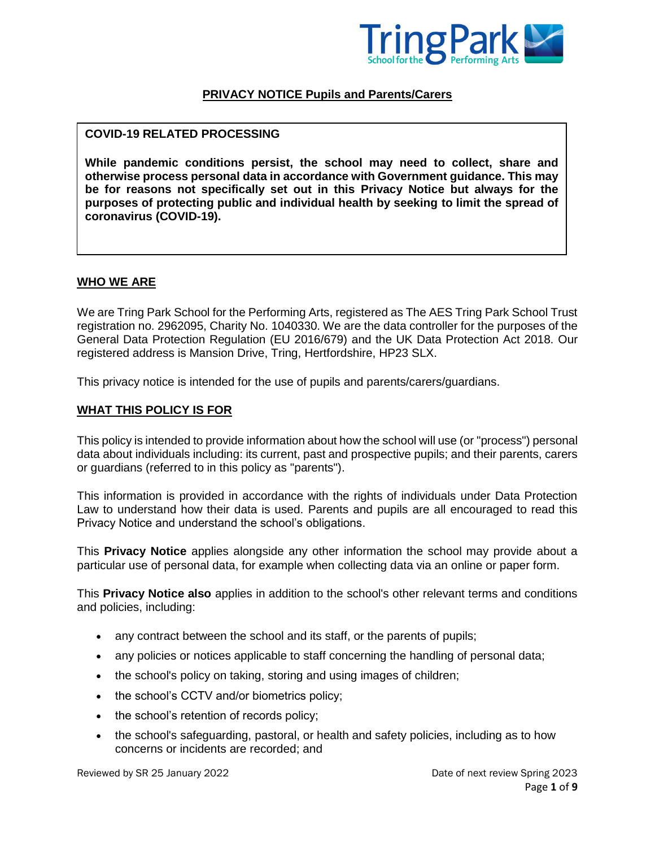

### **PRIVACY NOTICE Pupils and Parents/Carers**

#### **COVID-19 RELATED PROCESSING**

**While pandemic conditions persist, the school may need to collect, share and otherwise process personal data in accordance with Government guidance. This may be for reasons not specifically set out in this Privacy Notice but always for the purposes of protecting public and individual health by seeking to limit the spread of coronavirus (COVID-19).**

#### **WHO WE ARE**

We are Tring Park School for the Performing Arts, registered as The AES Tring Park School Trust registration no. 2962095, Charity No. 1040330. We are the data controller for the purposes of the General Data Protection Regulation (EU 2016/679) and the UK Data Protection Act 2018. Our registered address is Mansion Drive, Tring, Hertfordshire, HP23 SLX.

This privacy notice is intended for the use of pupils and parents/carers/guardians.

#### **WHAT THIS POLICY IS FOR**

This policy is intended to provide information about how the school will use (or "process") personal data about individuals including: its current, past and prospective pupils; and their parents, carers or guardians (referred to in this policy as "parents").

This information is provided in accordance with the rights of individuals under Data Protection Law to understand how their data is used. Parents and pupils are all encouraged to read this Privacy Notice and understand the school's obligations.

This **Privacy Notice** applies alongside any other information the school may provide about a particular use of personal data, for example when collecting data via an online or paper form.

This **Privacy Notice also** applies in addition to the school's other relevant terms and conditions and policies, including:

- any contract between the school and its staff, or the parents of pupils;
- any policies or notices applicable to staff concerning the handling of personal data;
- the school's policy on taking, storing and using images of children;
- the school's CCTV and/or biometrics policy;
- the school's retention of records policy;
- the school's safeguarding, pastoral, or health and safety policies, including as to how concerns or incidents are recorded; and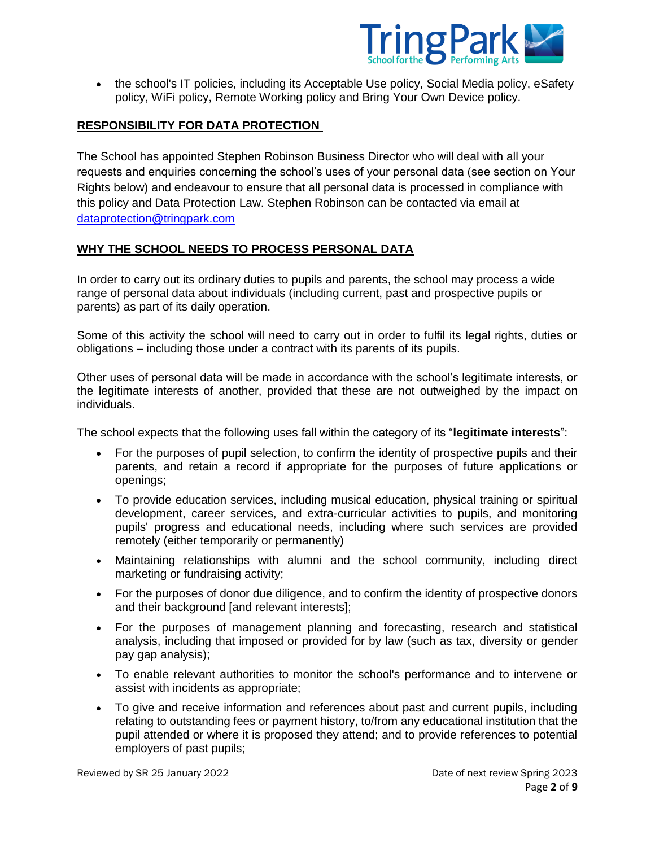

• the school's IT policies, including its Acceptable Use policy, Social Media policy, eSafety policy, WiFi policy, Remote Working policy and Bring Your Own Device policy.

# **RESPONSIBILITY FOR DATA PROTECTION**

The School has appointed Stephen Robinson Business Director who will deal with all your requests and enquiries concerning the school's uses of your personal data (see section on Your Rights below) and endeavour to ensure that all personal data is processed in compliance with this policy and Data Protection Law. Stephen Robinson can be contacted via email at [dataprotection@tringpark.com](mailto:dataprotection@tringpark.com)

### **WHY THE SCHOOL NEEDS TO PROCESS PERSONAL DATA**

In order to carry out its ordinary duties to pupils and parents, the school may process a wide range of personal data about individuals (including current, past and prospective pupils or parents) as part of its daily operation.

Some of this activity the school will need to carry out in order to fulfil its legal rights, duties or obligations – including those under a contract with its parents of its pupils.

Other uses of personal data will be made in accordance with the school's legitimate interests, or the legitimate interests of another, provided that these are not outweighed by the impact on individuals.

The school expects that the following uses fall within the category of its "**legitimate interests**":

- For the purposes of pupil selection, to confirm the identity of prospective pupils and their parents, and retain a record if appropriate for the purposes of future applications or openings;
- To provide education services, including musical education, physical training or spiritual development, career services, and extra-curricular activities to pupils, and monitoring pupils' progress and educational needs, including where such services are provided remotely (either temporarily or permanently)
- Maintaining relationships with alumni and the school community, including direct marketing or fundraising activity;
- For the purposes of donor due diligence, and to confirm the identity of prospective donors and their background land relevant interests];
- For the purposes of management planning and forecasting, research and statistical analysis, including that imposed or provided for by law (such as tax, diversity or gender pay gap analysis);
- To enable relevant authorities to monitor the school's performance and to intervene or assist with incidents as appropriate;
- To give and receive information and references about past and current pupils, including relating to outstanding fees or payment history, to/from any educational institution that the pupil attended or where it is proposed they attend; and to provide references to potential employers of past pupils;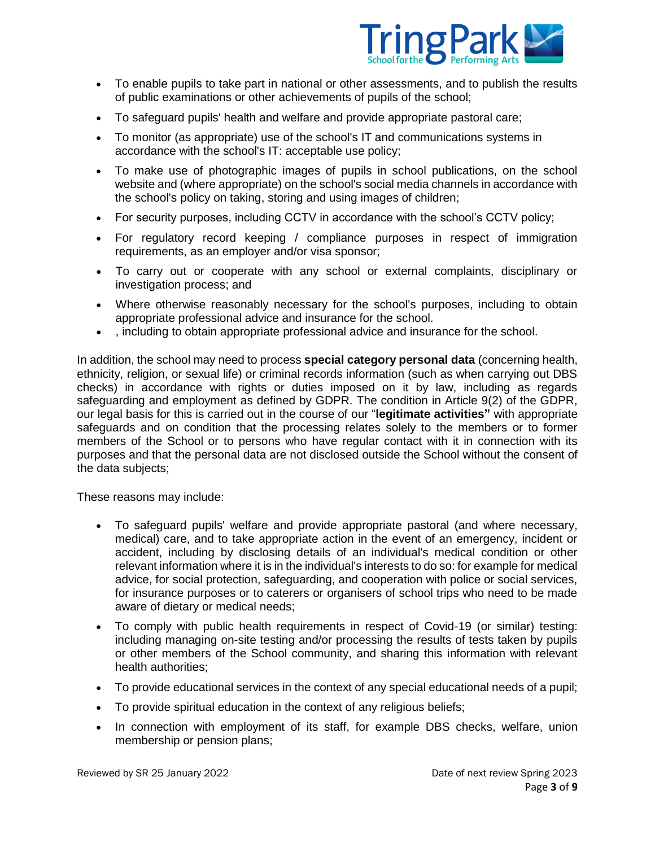

- To enable pupils to take part in national or other assessments, and to publish the results of public examinations or other achievements of pupils of the school;
- To safeguard pupils' health and welfare and provide appropriate pastoral care;
- To monitor (as appropriate) use of the school's IT and communications systems in accordance with the school's IT: acceptable use policy;
- To make use of photographic images of pupils in school publications, on the school website and (where appropriate) on the school's social media channels in accordance with the school's policy on taking, storing and using images of children;
- For security purposes, including CCTV in accordance with the school's CCTV policy;
- For regulatory record keeping / compliance purposes in respect of immigration requirements, as an employer and/or visa sponsor;
- To carry out or cooperate with any school or external complaints, disciplinary or investigation process; and
- Where otherwise reasonably necessary for the school's purposes, including to obtain appropriate professional advice and insurance for the school.
- , including to obtain appropriate professional advice and insurance for the school.

In addition, the school may need to process **special category personal data** (concerning health, ethnicity, religion, or sexual life) or criminal records information (such as when carrying out DBS checks) in accordance with rights or duties imposed on it by law, including as regards safeguarding and employment as defined by GDPR. The condition in Article 9(2) of the GDPR, our legal basis for this is carried out in the course of our "**legitimate activities"** with appropriate safeguards and on condition that the processing relates solely to the members or to former members of the School or to persons who have regular contact with it in connection with its purposes and that the personal data are not disclosed outside the School without the consent of the data subjects;

These reasons may include:

- To safeguard pupils' welfare and provide appropriate pastoral (and where necessary, medical) care, and to take appropriate action in the event of an emergency, incident or accident, including by disclosing details of an individual's medical condition or other relevant information where it is in the individual's interests to do so: for example for medical advice, for social protection, safeguarding, and cooperation with police or social services, for insurance purposes or to caterers or organisers of school trips who need to be made aware of dietary or medical needs;
- To comply with public health requirements in respect of Covid-19 (or similar) testing: including managing on-site testing and/or processing the results of tests taken by pupils or other members of the School community, and sharing this information with relevant health authorities;
- To provide educational services in the context of any special educational needs of a pupil;
- To provide spiritual education in the context of any religious beliefs;
- In connection with employment of its staff, for example DBS checks, welfare, union membership or pension plans;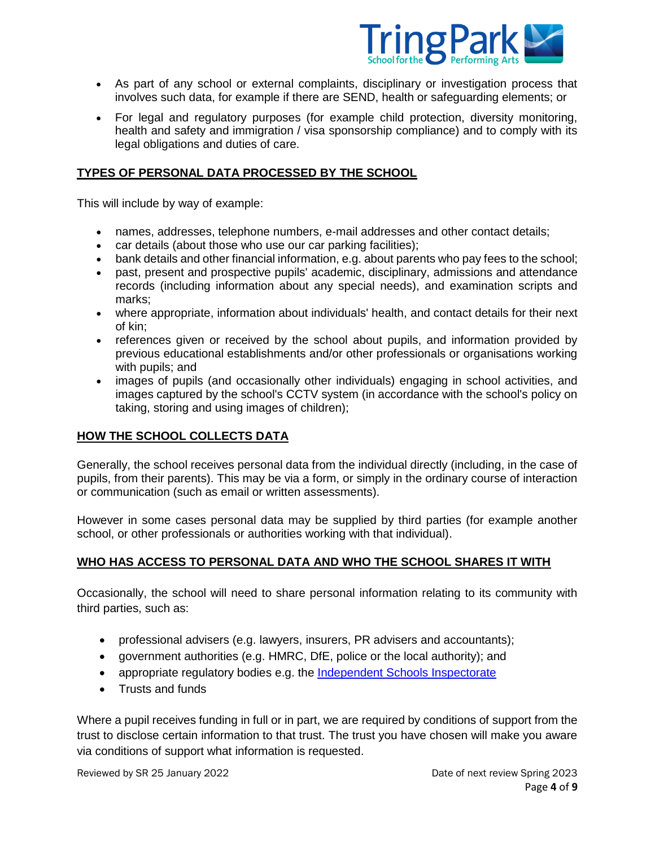

- As part of any school or external complaints, disciplinary or investigation process that involves such data, for example if there are SEND, health or safeguarding elements; or
- For legal and regulatory purposes (for example child protection, diversity monitoring, health and safety and immigration / visa sponsorship compliance) and to comply with its legal obligations and duties of care.

# **TYPES OF PERSONAL DATA PROCESSED BY THE SCHOOL**

This will include by way of example:

- names, addresses, telephone numbers, e-mail addresses and other contact details;
- car details (about those who use our car parking facilities);
- bank details and other financial information, e.g. about parents who pay fees to the school;
- past, present and prospective pupils' academic, disciplinary, admissions and attendance records (including information about any special needs), and examination scripts and marks;
- where appropriate, information about individuals' health, and contact details for their next of kin;
- references given or received by the school about pupils, and information provided by previous educational establishments and/or other professionals or organisations working with pupils; and
- images of pupils (and occasionally other individuals) engaging in school activities, and images captured by the school's CCTV system (in accordance with the school's policy on taking, storing and using images of children);

# **HOW THE SCHOOL COLLECTS DATA**

Generally, the school receives personal data from the individual directly (including, in the case of pupils, from their parents). This may be via a form, or simply in the ordinary course of interaction or communication (such as email or written assessments).

However in some cases personal data may be supplied by third parties (for example another school, or other professionals or authorities working with that individual).

# **WHO HAS ACCESS TO PERSONAL DATA AND WHO THE SCHOOL SHARES IT WITH**

Occasionally, the school will need to share personal information relating to its community with third parties, such as:

- professional advisers (e.g. lawyers, insurers, PR advisers and accountants);
- government authorities (e.g. HMRC, DfE, police or the local authority); and
- appropriate regulatory bodies e.g. the [Independent Schools Inspectorate](https://www.isi.net/)
- Trusts and funds

Where a pupil receives funding in full or in part, we are required by conditions of support from the trust to disclose certain information to that trust. The trust you have chosen will make you aware via conditions of support what information is requested.

Reviewed by SR 25 January 2022 **Date of next review Spring 2023** Date of next review Spring 2023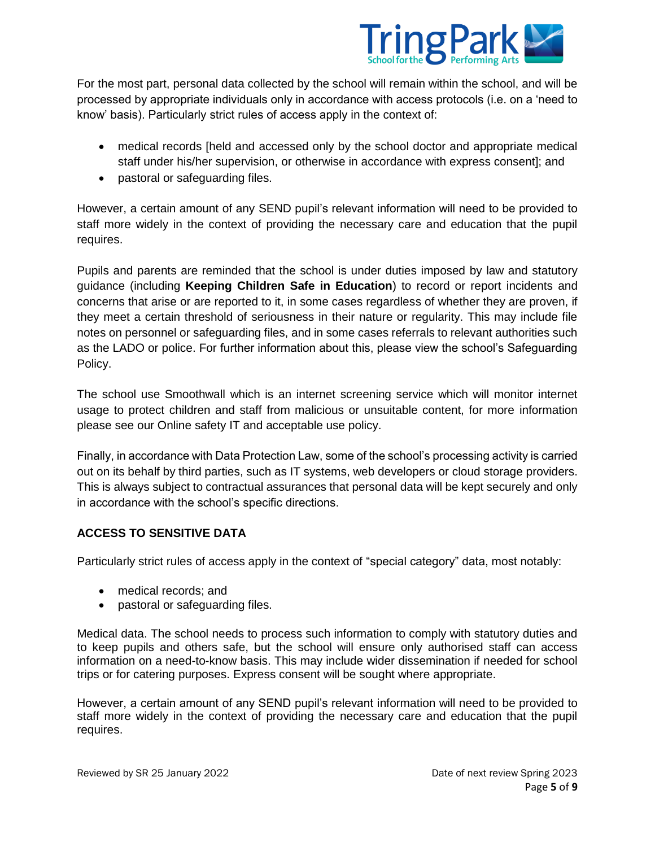

For the most part, personal data collected by the school will remain within the school, and will be processed by appropriate individuals only in accordance with access protocols (i.e. on a 'need to know' basis). Particularly strict rules of access apply in the context of:

- medical records [held and accessed only by the school doctor and appropriate medical staff under his/her supervision, or otherwise in accordance with express consent]; and
- pastoral or safeguarding files.

However, a certain amount of any SEND pupil's relevant information will need to be provided to staff more widely in the context of providing the necessary care and education that the pupil requires.

Pupils and parents are reminded that the school is under duties imposed by law and statutory guidance (including **[Keeping Children Safe in Education](https://www.gov.uk/government/publications/keeping-children-safe-in-education--2)**) to record or report incidents and concerns that arise or are reported to it, in some cases regardless of whether they are proven, if they meet a certain threshold of seriousness in their nature or regularity. This may include file notes on personnel or safeguarding files, and in some cases referrals to relevant authorities such as the LADO or police. For further information about this, please view the school's Safeguarding Policy.

The school use Smoothwall which is an internet screening service which will monitor internet usage to protect children and staff from malicious or unsuitable content, for more information please see our Online safety IT and acceptable use policy.

Finally, in accordance with Data Protection Law, some of the school's processing activity is carried out on its behalf by third parties, such as IT systems, web developers or cloud storage providers. This is always subject to contractual assurances that personal data will be kept securely and only in accordance with the school's specific directions.

# **ACCESS TO SENSITIVE DATA**

Particularly strict rules of access apply in the context of "special category" data, most notably:

- medical records; and
- pastoral or safeguarding files.

Medical data. The school needs to process such information to comply with statutory duties and to keep pupils and others safe, but the school will ensure only authorised staff can access information on a need-to-know basis. This may include wider dissemination if needed for school trips or for catering purposes. Express consent will be sought where appropriate.

However, a certain amount of any SEND pupil's relevant information will need to be provided to staff more widely in the context of providing the necessary care and education that the pupil requires.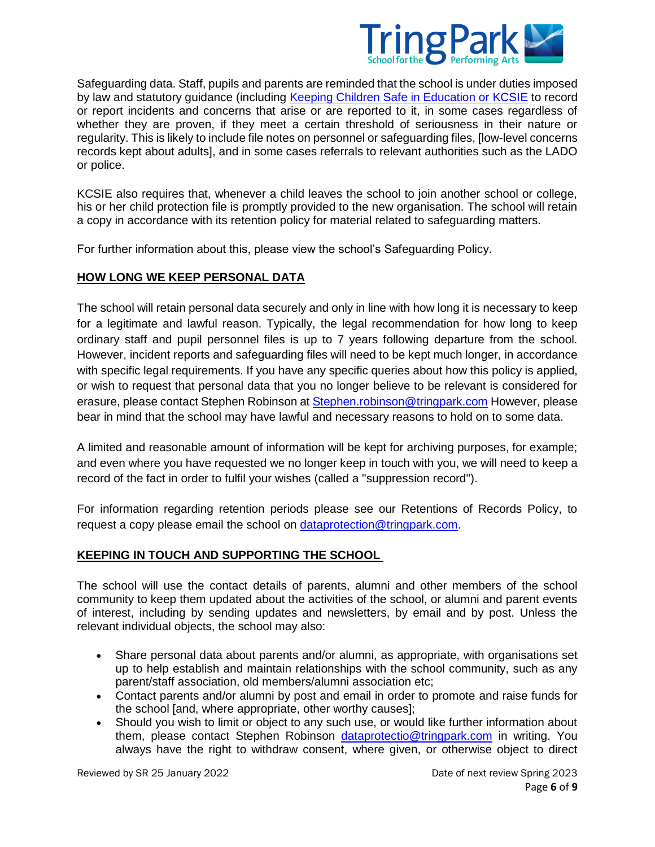

Safeguarding data. Staff, pupils and parents are reminded that the school is under duties imposed by law and statutory guidance (including [Keeping Children Safe in Education or KCSIE](https://assets.publishing.service.gov.uk/government/uploads/system/uploads/attachment_data/file/954314/Keeping_children_safe_in_education_2020_-_Update_-_January_2021.pdf) to record or report incidents and concerns that arise or are reported to it, in some cases regardless of whether they are proven, if they meet a certain threshold of seriousness in their nature or regularity. This is likely to include file notes on personnel or safeguarding files, [low-level concerns records kept about adults], and in some cases referrals to relevant authorities such as the LADO or police.

KCSIE also requires that, whenever a child leaves the school to join another school or college, his or her child protection file is promptly provided to the new organisation. The school will retain a copy in accordance with its retention policy for material related to safeguarding matters.

For further information about this, please view the school's Safeguarding Policy.

# **HOW LONG WE KEEP PERSONAL DATA**

The school will retain personal data securely and only in line with how long it is necessary to keep for a legitimate and lawful reason. Typically, the legal recommendation for how long to keep ordinary staff and pupil personnel files is up to 7 years following departure from the school. However, incident reports and safeguarding files will need to be kept much longer, in accordance with specific legal requirements. If you have any specific queries about how this policy is applied, or wish to request that personal data that you no longer believe to be relevant is considered for erasure, please contact Stephen Robinson at [Stephen.robinson@tringpark.com](mailto:Stephen.robinson@tringpark.com) However, please bear in mind that the school may have lawful and necessary reasons to hold on to some data.

A limited and reasonable amount of information will be kept for archiving purposes, for example; and even where you have requested we no longer keep in touch with you, we will need to keep a record of the fact in order to fulfil your wishes (called a "suppression record").

For information regarding retention periods please see our Retentions of Records Policy, to request a copy please email the school on [dataprotection@tringpark.com.](mailto:dataprotection@tringpark.com)

# **KEEPING IN TOUCH AND SUPPORTING THE SCHOOL**

The school will use the contact details of parents, alumni and other members of the school community to keep them updated about the activities of the school, or alumni and parent events of interest, including by sending updates and newsletters, by email and by post. Unless the relevant individual objects, the school may also:

- Share personal data about parents and/or alumni, as appropriate, with organisations set up to help establish and maintain relationships with the school community, such as any parent/staff association, old members/alumni association etc;
- Contact parents and/or alumni by post and email in order to promote and raise funds for the school [and, where appropriate, other worthy causes];
- Should you wish to limit or object to any such use, or would like further information about them, please contact Stephen Robinson [dataprotectio@tringpark.com](mailto:dataprotectio@tringpark.com) in writing. You always have the right to withdraw consent, where given, or otherwise object to direct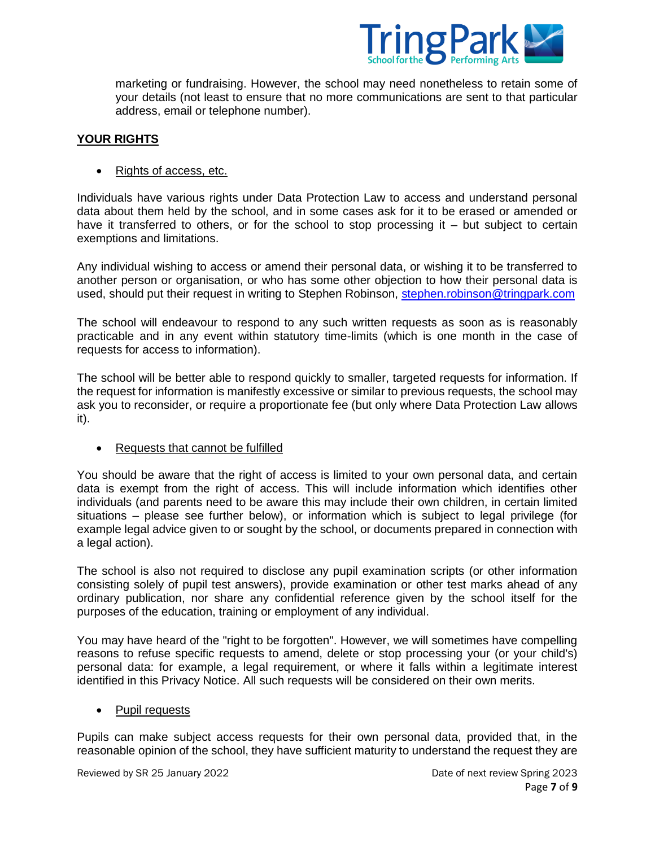

marketing or fundraising. However, the school may need nonetheless to retain some of your details (not least to ensure that no more communications are sent to that particular address, email or telephone number).

## **YOUR RIGHTS**

#### • Rights of access, etc.

Individuals have various rights under Data Protection Law to access and understand personal data about them held by the school, and in some cases ask for it to be erased or amended or have it transferred to others, or for the school to stop processing it – but subject to certain exemptions and limitations.

Any individual wishing to access or amend their personal data, or wishing it to be transferred to another person or organisation, or who has some other objection to how their personal data is used, should put their request in writing to Stephen Robinson, [stephen.robinson@tringpark.com](mailto:stephen.robinson@tringpark.com)

The school will endeavour to respond to any such written requests as soon as is reasonably practicable and in any event within statutory time-limits (which is one month in the case of requests for access to information).

The school will be better able to respond quickly to smaller, targeted requests for information. If the request for information is manifestly excessive or similar to previous requests, the school may ask you to reconsider, or require a proportionate fee (but only where Data Protection Law allows it).

### Requests that cannot be fulfilled

You should be aware that the right of access is limited to your own personal data, and certain data is exempt from the right of access. This will include information which identifies other individuals (and parents need to be aware this may include their own children, in certain limited situations – please see further below), or information which is subject to legal privilege (for example legal advice given to or sought by the school, or documents prepared in connection with a legal action).

The school is also not required to disclose any pupil examination scripts (or other information consisting solely of pupil test answers), provide examination or other test marks ahead of any ordinary publication, nor share any confidential reference given by the school itself for the purposes of the education, training or employment of any individual.

You may have heard of the "right to be forgotten". However, we will sometimes have compelling reasons to refuse specific requests to amend, delete or stop processing your (or your child's) personal data: for example, a legal requirement, or where it falls within a legitimate interest identified in this Privacy Notice. All such requests will be considered on their own merits.

### • Pupil requests

Pupils can make subject access requests for their own personal data, provided that, in the reasonable opinion of the school, they have sufficient maturity to understand the request they are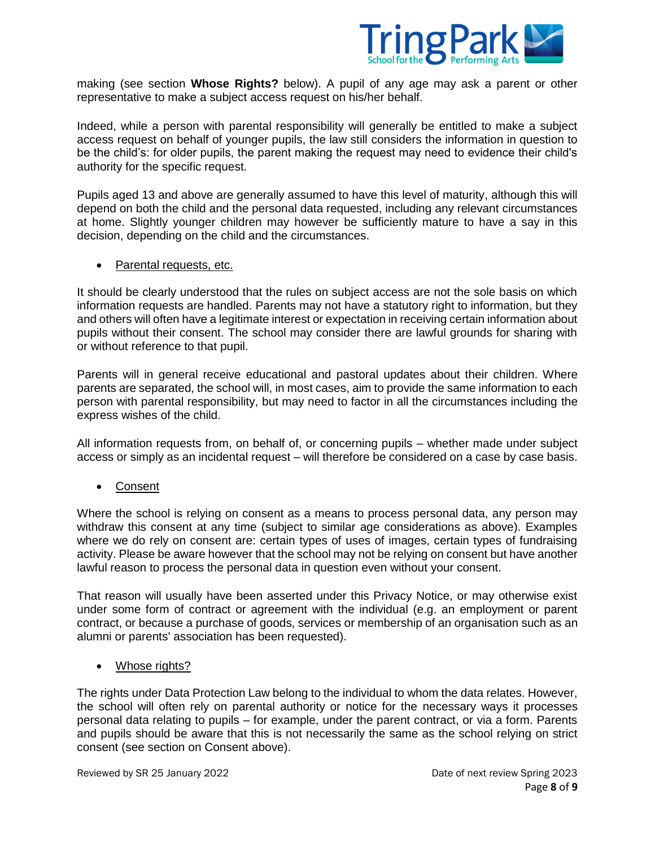

making (see section **Whose Rights?** below). A pupil of any age may ask a parent or other representative to make a subject access request on his/her behalf.

Indeed, while a person with parental responsibility will generally be entitled to make a subject access request on behalf of younger pupils, the law still considers the information in question to be the child's: for older pupils, the parent making the request may need to evidence their child's authority for the specific request.

Pupils aged 13 and above are generally assumed to have this level of maturity, although this will depend on both the child and the personal data requested, including any relevant circumstances at home. Slightly younger children may however be sufficiently mature to have a say in this decision, depending on the child and the circumstances.

• Parental requests, etc.

It should be clearly understood that the rules on subject access are not the sole basis on which information requests are handled. Parents may not have a statutory right to information, but they and others will often have a legitimate interest or expectation in receiving certain information about pupils without their consent. The school may consider there are lawful grounds for sharing with or without reference to that pupil.

Parents will in general receive educational and pastoral updates about their children. Where parents are separated, the school will, in most cases, aim to provide the same information to each person with parental responsibility, but may need to factor in all the circumstances including the express wishes of the child.

All information requests from, on behalf of, or concerning pupils – whether made under subject access or simply as an incidental request – will therefore be considered on a case by case basis.

Consent

Where the school is relying on consent as a means to process personal data, any person may withdraw this consent at any time (subject to similar age considerations as above). Examples where we do rely on consent are: certain types of uses of images, certain types of fundraising activity. Please be aware however that the school may not be relying on consent but have another lawful reason to process the personal data in question even without your consent.

That reason will usually have been asserted under this Privacy Notice, or may otherwise exist under some form of contract or agreement with the individual (e.g. an employment or parent contract, or because a purchase of goods, services or membership of an organisation such as an alumni or parents' association has been requested).

• Whose rights?

The rights under Data Protection Law belong to the individual to whom the data relates. However, the school will often rely on parental authority or notice for the necessary ways it processes personal data relating to pupils – for example, under the parent contract, or via a form. Parents and pupils should be aware that this is not necessarily the same as the school relying on strict consent (see section on Consent above).